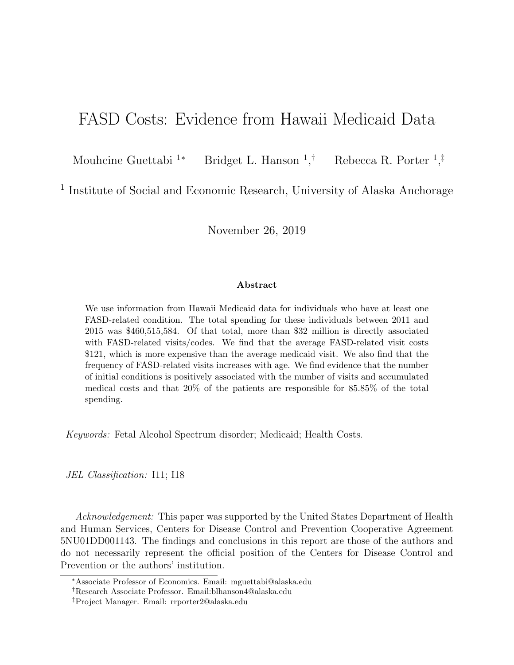# FASD Costs: Evidence from Hawaii Medicaid Data

Mouhcine Guettabi  $1*$ Bridget L. Hanson  $1,^{\dagger}$ <sup>†</sup> Rebecca R. Porter <sup>1</sup>,<sup>‡</sup>

<sup>1</sup> Institute of Social and Economic Research, University of Alaska Anchorage

November 26, 2019

#### Abstract

We use information from Hawaii Medicaid data for individuals who have at least one FASD-related condition. The total spending for these individuals between 2011 and 2015 was \$460,515,584. Of that total, more than \$32 million is directly associated with FASD-related visits/codes. We find that the average FASD-related visit costs \$121, which is more expensive than the average medicaid visit. We also find that the frequency of FASD-related visits increases with age. We find evidence that the number of initial conditions is positively associated with the number of visits and accumulated medical costs and that 20% of the patients are responsible for 85.85% of the total spending.

Keywords: Fetal Alcohol Spectrum disorder; Medicaid; Health Costs.

JEL Classification: I11; I18

Acknowledgement: This paper was supported by the United States Department of Health and Human Services, Centers for Disease Control and Prevention Cooperative Agreement 5NU01DD001143. The findings and conclusions in this report are those of the authors and do not necessarily represent the official position of the Centers for Disease Control and Prevention or the authors' institution.

<sup>∗</sup>Associate Professor of Economics. Email: mguettabi@alaska.edu

<sup>†</sup>Research Associate Professor. Email:blhanson4@alaska.edu

<sup>‡</sup>Project Manager. Email: rrporter2@alaska.edu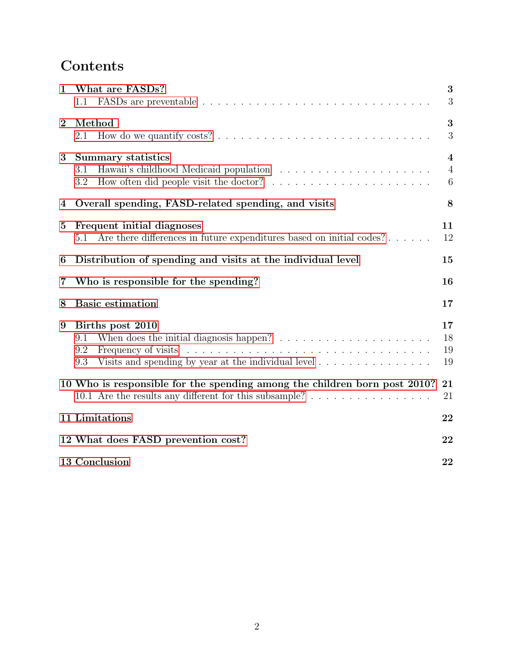# Contents

| $\mathbf{1}$            | What are FASDs?<br>1.1                                                                                                                                                                                                     | 3<br>3                                         |
|-------------------------|----------------------------------------------------------------------------------------------------------------------------------------------------------------------------------------------------------------------------|------------------------------------------------|
| $\overline{2}$          | Method<br>2.1                                                                                                                                                                                                              | 3<br>3                                         |
| 3                       | <b>Summary statistics</b><br>3.1<br>How often did people visit the doctor? $\ldots \ldots \ldots \ldots \ldots \ldots$<br>3.2                                                                                              | $\overline{\mathbf{4}}$<br>$\overline{4}$<br>6 |
| $\overline{\mathbf{4}}$ | Overall spending, FASD-related spending, and visits                                                                                                                                                                        | 8                                              |
| $\bf{5}$                | Frequent initial diagnoses<br>Are there differences in future expenditures based on initial codes?<br>5.1                                                                                                                  | 11<br>12                                       |
| 6                       | Distribution of spending and visits at the individual level                                                                                                                                                                | 15                                             |
| 7                       | Who is responsible for the spending?                                                                                                                                                                                       | 16                                             |
| 8                       | <b>Basic estimation</b>                                                                                                                                                                                                    | 17                                             |
| 9                       | Births post 2010<br>When does the initial diagnosis happen? $\ldots \ldots \ldots \ldots \ldots \ldots \ldots$<br>9.1<br>9.2<br>Visits and spending by year at the individual level $\dots \dots \dots \dots \dots$<br>9.3 | 17<br>18<br>19<br>19                           |
|                         | 10 Who is responsible for the spending among the children born post 2010?<br>10.1 Are the results any different for this subsample?                                                                                        | 21<br>21                                       |
|                         | 11 Limitations                                                                                                                                                                                                             | 22                                             |
|                         | 12 What does FASD prevention cost?                                                                                                                                                                                         | 22                                             |
|                         | 13 Conclusion                                                                                                                                                                                                              | 22                                             |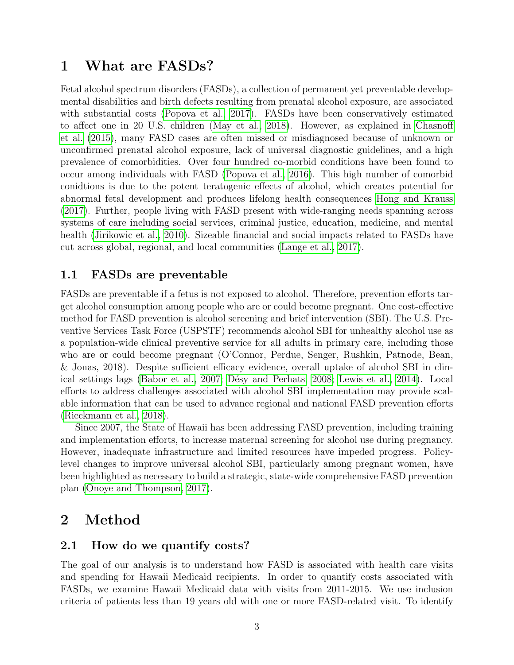## <span id="page-2-0"></span>1 What are FASDs?

Fetal alcohol spectrum disorders (FASDs), a collection of permanent yet preventable developmental disabilities and birth defects resulting from prenatal alcohol exposure, are associated with substantial costs [\(Popova et al., 2017\)](#page-23-0). FASDs have been conservatively estimated to affect one in 20 U.S. children [\(May et al., 2018\)](#page-23-1). However, as explained in [Chasnoff](#page-23-2) [et al.](#page-23-2) [\(2015\)](#page-23-2), many FASD cases are often missed or misdiagnosed because of unknown or unconfirmed prenatal alcohol exposure, lack of universal diagnostic guidelines, and a high prevalence of comorbidities. Over four hundred co-morbid conditions have been found to occur among individuals with FASD [\(Popova et al., 2016\)](#page-23-3). This high number of comorbid conidtions is due to the potent teratogenic effects of alcohol, which creates potential for abnormal fetal development and produces lifelong health consequences [Hong and Krauss](#page-23-4) [\(2017\)](#page-23-4). Further, people living with FASD present with wide-ranging needs spanning across systems of care including social services, criminal justice, education, medicine, and mental health [\(Jirikowic et al., 2010\)](#page-23-5). Sizeable financial and social impacts related to FASDs have cut across global, regional, and local communities [\(Lange et al., 2017\)](#page-23-6).

### <span id="page-2-1"></span>1.1 FASDs are preventable

FASDs are preventable if a fetus is not exposed to alcohol. Therefore, prevention efforts target alcohol consumption among people who are or could become pregnant. One cost-effective method for FASD prevention is alcohol screening and brief intervention (SBI). The U.S. Preventive Services Task Force (USPSTF) recommends alcohol SBI for unhealthy alcohol use as a population-wide clinical preventive service for all adults in primary care, including those who are or could become pregnant (O'Connor, Perdue, Senger, Rushkin, Patnode, Bean, & Jonas, 2018). Despite sufficient efficacy evidence, overall uptake of alcohol SBI in clin-ical settings lags [\(Babor et al., 2007;](#page-23-7) Désy and Perhats, 2008; [Lewis et al., 2014\)](#page-23-9). Local efforts to address challenges associated with alcohol SBI implementation may provide scalable information that can be used to advance regional and national FASD prevention efforts [\(Rieckmann et al., 2018\)](#page-24-0).

Since 2007, the State of Hawaii has been addressing FASD prevention, including training and implementation efforts, to increase maternal screening for alcohol use during pregnancy. However, inadequate infrastructure and limited resources have impeded progress. Policylevel changes to improve universal alcohol SBI, particularly among pregnant women, have been highlighted as necessary to build a strategic, state-wide comprehensive FASD prevention plan [\(Onoye and Thompson, 2017\)](#page-23-10).

## <span id="page-2-2"></span>2 Method

#### <span id="page-2-3"></span>2.1 How do we quantify costs?

The goal of our analysis is to understand how FASD is associated with health care visits and spending for Hawaii Medicaid recipients. In order to quantify costs associated with FASDs, we examine Hawaii Medicaid data with visits from 2011-2015. We use inclusion criteria of patients less than 19 years old with one or more FASD-related visit. To identify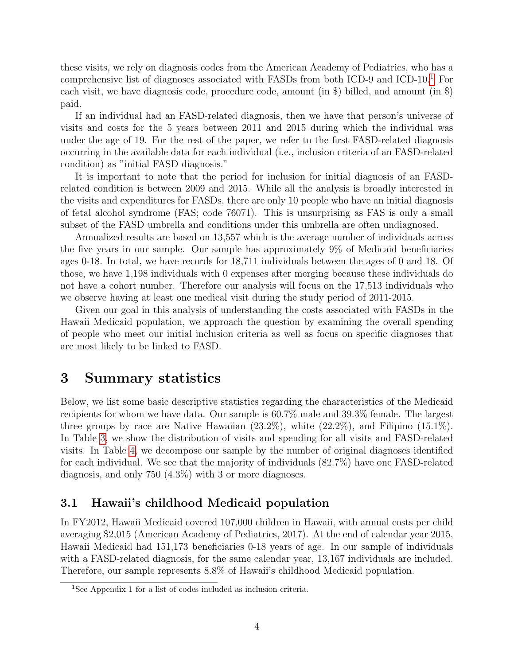these visits, we rely on diagnosis codes from the American Academy of Pediatrics, who has a comprehensive list of diagnoses associated with FASDs from both ICD-9 and ICD-10.[1](#page-3-2) For each visit, we have diagnosis code, procedure code, amount (in \$) billed, and amount (in \$) paid.

If an individual had an FASD-related diagnosis, then we have that person's universe of visits and costs for the 5 years between 2011 and 2015 during which the individual was under the age of 19. For the rest of the paper, we refer to the first FASD-related diagnosis occurring in the available data for each individual (i.e., inclusion criteria of an FASD-related condition) as "initial FASD diagnosis."

It is important to note that the period for inclusion for initial diagnosis of an FASDrelated condition is between 2009 and 2015. While all the analysis is broadly interested in the visits and expenditures for FASDs, there are only 10 people who have an initial diagnosis of fetal alcohol syndrome (FAS; code 76071). This is unsurprising as FAS is only a small subset of the FASD umbrella and conditions under this umbrella are often undiagnosed.

Annualized results are based on 13,557 which is the average number of individuals across the five years in our sample. Our sample has approximately 9% of Medicaid beneficiaries ages 0-18. In total, we have records for 18,711 individuals between the ages of 0 and 18. Of those, we have 1,198 individuals with 0 expenses after merging because these individuals do not have a cohort number. Therefore our analysis will focus on the 17,513 individuals who we observe having at least one medical visit during the study period of 2011-2015.

Given our goal in this analysis of understanding the costs associated with FASDs in the Hawaii Medicaid population, we approach the question by examining the overall spending of people who meet our initial inclusion criteria as well as focus on specific diagnoses that are most likely to be linked to FASD.

## <span id="page-3-0"></span>3 Summary statistics

Below, we list some basic descriptive statistics regarding the characteristics of the Medicaid recipients for whom we have data. Our sample is 60.7% male and 39.3% female. The largest three groups by race are Native Hawaiian  $(23.2\%)$ , white  $(22.2\%)$ , and Filipino  $(15.1\%)$ . In Table [3,](#page-5-1) we show the distribution of visits and spending for all visits and FASD-related visits. In Table [4,](#page-6-0) we decompose our sample by the number of original diagnoses identified for each individual. We see that the majority of individuals (82.7%) have one FASD-related diagnosis, and only 750 (4.3%) with 3 or more diagnoses.

### <span id="page-3-1"></span>3.1 Hawaii's childhood Medicaid population

In FY2012, Hawaii Medicaid covered 107,000 children in Hawaii, with annual costs per child averaging \$2,015 (American Academy of Pediatrics, 2017). At the end of calendar year 2015, Hawaii Medicaid had 151,173 beneficiaries 0-18 years of age. In our sample of individuals with a FASD-related diagnosis, for the same calendar year, 13,167 individuals are included. Therefore, our sample represents 8.8% of Hawaii's childhood Medicaid population.

<span id="page-3-2"></span><sup>1</sup>See Appendix 1 for a list of codes included as inclusion criteria.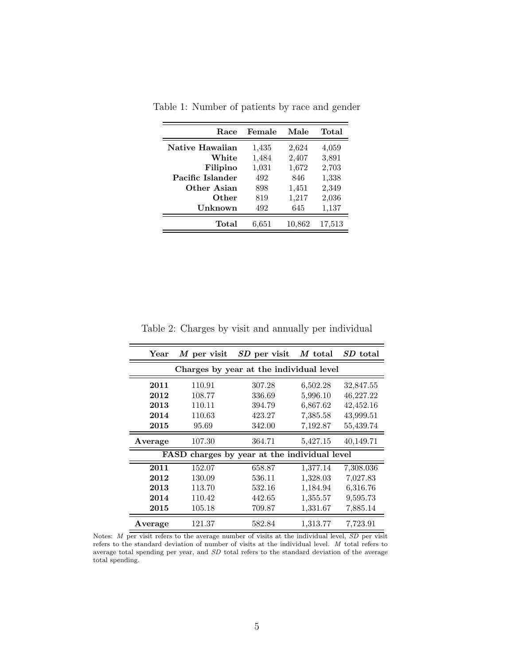| Race             | Female | Male   | Total  |
|------------------|--------|--------|--------|
| Native Hawaiian  | 1,435  | 2,624  | 4,059  |
| White            | 1,484  | 2,407  | 3,891  |
| Filipino         | 1,031  | 1,672  | 2,703  |
| Pacific Islander | 492    | 846    | 1,338  |
| Other Asian      | 898    | 1,451  | 2,349  |
| Other            | 819    | 1,217  | 2,036  |
| Unknown          | 492    | 645    | 1,137  |
| Total            | 6,651  | 10,862 | 17,513 |

Table 1: Number of patients by race and gender

Table 2: Charges by visit and annually per individual

| $M$ per visit<br>Year                                  |                                         | SD per visit | $M$ total | SD total  |  |  |  |
|--------------------------------------------------------|-----------------------------------------|--------------|-----------|-----------|--|--|--|
|                                                        | Charges by year at the individual level |              |           |           |  |  |  |
| 2011                                                   | 110.91                                  | 307.28       | 6,502.28  | 32,847.55 |  |  |  |
| 2012                                                   | 108.77                                  | 336.69       | 5,996.10  | 46,227.22 |  |  |  |
| 2013                                                   | 110.11                                  | 394.79       | 6,867.62  | 42,452.16 |  |  |  |
| 2014                                                   | 110.63                                  | 423.27       | 7,385.58  | 43,999.51 |  |  |  |
| 2015                                                   | 95.69                                   | 342.00       | 7,192.87  | 55,439.74 |  |  |  |
| Average                                                | 107.30                                  | 364.71       | 5,427.15  | 40,149.71 |  |  |  |
| charges by year at the individual level<br><b>FASD</b> |                                         |              |           |           |  |  |  |
| 2011                                                   | 152.07                                  | 658.87       | 1,377.14  | 7,308.036 |  |  |  |
| 2012                                                   | 130.09                                  | 536.11       | 1,328.03  | 7,027.83  |  |  |  |
| 2013                                                   | 113.70                                  | 532.16       | 1,184.94  | 6,316.76  |  |  |  |
| 2014                                                   | 110.42                                  | 442.65       | 1,355.57  | 9,595.73  |  |  |  |
| 2015                                                   | 105.18                                  | 709.87       | 1,331.67  | 7,885.14  |  |  |  |
| Average                                                | 121.37                                  | 582.84       | 1,313.77  | 7,723.91  |  |  |  |

Notes: M per visit refers to the average number of visits at the individual level, SD per visit refers to the standard deviation of number of visits at the individual level. M total refers to average total spending per year, and SD total refers to the standard deviation of the average total spending.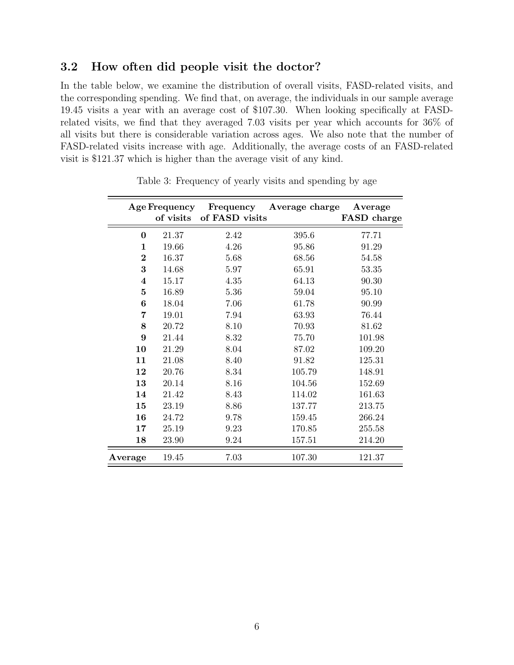### <span id="page-5-0"></span>3.2 How often did people visit the doctor?

In the table below, we examine the distribution of overall visits, FASD-related visits, and the corresponding spending. We find that, on average, the individuals in our sample average 19.45 visits a year with an average cost of \$107.30. When looking specifically at FASDrelated visits, we find that they averaged 7.03 visits per year which accounts for 36% of all visits but there is considerable variation across ages. We also note that the number of FASD-related visits increase with age. Additionally, the average costs of an FASD-related visit is \$121.37 which is higher than the average visit of any kind.

<span id="page-5-1"></span>

|                         | <b>Age Frequency</b><br>of visits | Frequency<br>of FASD visits | Average charge | Average<br><b>FASD</b> charge |
|-------------------------|-----------------------------------|-----------------------------|----------------|-------------------------------|
| $\boldsymbol{0}$        | 21.37                             | 2.42                        | 395.6          | 77.71                         |
| 1                       | 19.66                             | 4.26                        | 95.86          | 91.29                         |
| $\bf{2}$                | 16.37                             | 5.68                        | 68.56          | 54.58                         |
| 3                       | 14.68                             | 5.97                        | 65.91          | 53.35                         |
| $\overline{\mathbf{4}}$ | 15.17                             | 4.35                        | 64.13          | 90.30                         |
| $\overline{5}$          | 16.89                             | 5.36                        | 59.04          | 95.10                         |
| 6                       | 18.04                             | 7.06                        | 61.78          | 90.99                         |
| 7                       | 19.01                             | 7.94                        | 63.93          | 76.44                         |
| 8                       | 20.72                             | 8.10                        | 70.93          | 81.62                         |
| 9                       | 21.44                             | 8.32                        | 75.70          | 101.98                        |
| 10                      | 21.29                             | 8.04                        | 87.02          | 109.20                        |
| 11                      | 21.08                             | 8.40                        | 91.82          | 125.31                        |
| 12                      | 20.76                             | 8.34                        | 105.79         | 148.91                        |
| 13                      | 20.14                             | 8.16                        | 104.56         | 152.69                        |
| 14                      | 21.42                             | 8.43                        | 114.02         | 161.63                        |
| 15                      | 23.19                             | 8.86                        | 137.77         | 213.75                        |
| 16                      | 24.72                             | 9.78                        | 159.45         | 266.24                        |
| 17                      | 25.19                             | 9.23                        | 170.85         | 255.58                        |
| 18                      | 23.90                             | 9.24                        | 157.51         | 214.20                        |
| Average                 | 19.45                             | 7.03                        | 107.30         | 121.37                        |

Table 3: Frequency of yearly visits and spending by age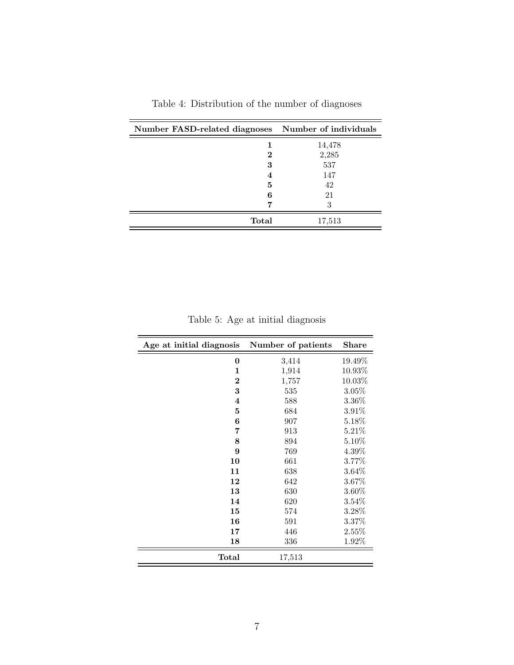<span id="page-6-0"></span>

| Number FASD-related diagnoses Number of individuals |        |
|-----------------------------------------------------|--------|
|                                                     | 14,478 |
| 2                                                   | 2,285  |
| 3                                                   | 537    |
| 4                                                   | 147    |
| 5                                                   | 42     |
| 6                                                   | 21     |
|                                                     |        |
| Total                                               | 17,513 |

Table 4: Distribution of the number of diagnoses

Table 5: Age at initial diagnosis

| Age at initial diagnosis | Number of patients | <b>Share</b> |
|--------------------------|--------------------|--------------|
| $\bf{0}$                 | 3,414              | 19.49%       |
| 1                        | 1,914              | 10.93%       |
| $\overline{2}$           | 1,757              | 10.03%       |
| 3                        | 535                | 3.05%        |
| $\overline{\mathbf{4}}$  | 588                | 3.36%        |
| $\overline{5}$           | 684                | 3.91%        |
| 6                        | 907                | 5.18%        |
| 7                        | 913                | 5.21%        |
| 8                        | 894                | 5.10%        |
| 9                        | 769                | 4.39%        |
| 10                       | 661                | 3.77%        |
| 11                       | 638                | 3.64%        |
| 12                       | 642                | $3.67\%$     |
| 13                       | 630                | 3.60%        |
| 14                       | 620                | 3.54%        |
| 15                       | 574                | 3.28%        |
| 16                       | 591                | 3.37%        |
| 17                       | 446                | 2.55%        |
| 18                       | 336                | 1.92%        |
| Total                    | 17,513             |              |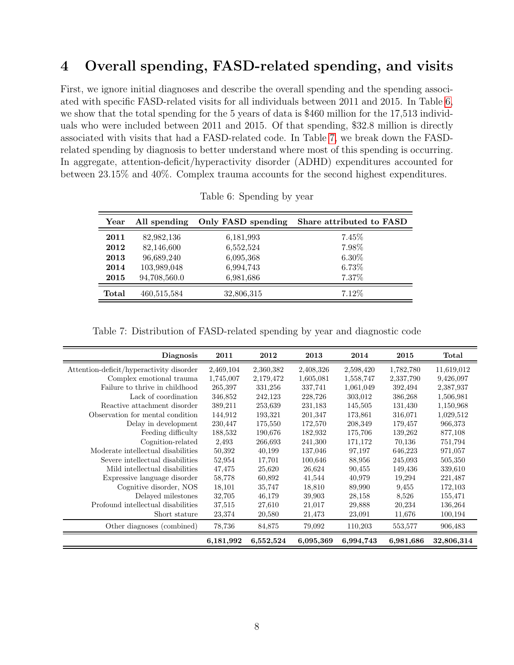# <span id="page-7-0"></span>4 Overall spending, FASD-related spending, and visits

First, we ignore initial diagnoses and describe the overall spending and the spending associated with specific FASD-related visits for all individuals between 2011 and 2015. In Table [6,](#page-7-1) we show that the total spending for the 5 years of data is \$460 million for the 17,513 individuals who were included between 2011 and 2015. Of that spending, \$32.8 million is directly associated with visits that had a FASD-related code. In Table [7,](#page-7-2) we break down the FASDrelated spending by diagnosis to better understand where most of this spending is occurring. In aggregate, attention-deficit/hyperactivity disorder (ADHD) expenditures accounted for between 23.15% and 40%. Complex trauma accounts for the second highest expenditures.

<span id="page-7-1"></span>

| Year  | All spending | Only FASD spending | Share attributed to FASD |
|-------|--------------|--------------------|--------------------------|
| 2011  | 82,982,136   | 6,181,993          | 7.45%                    |
| 2012  | 82,146,600   | 6,552,524          | 7.98%                    |
| 2013  | 96,689,240   | 6,095,368          | $6.30\%$                 |
| 2014  | 103,989,048  | 6,994,743          | 6.73%                    |
| 2015  | 94,708,560.0 | 6,981,686          | 7.37%                    |
| Total | 460,515,584  | 32,806,315         | 7.12%                    |

Table 6: Spending by year

Table 7: Distribution of FASD-related spending by year and diagnostic code

<span id="page-7-2"></span>

| <b>Diagnosis</b>                         | 2011      | 2012      | 2013      | 2014      | 2015      | Total      |
|------------------------------------------|-----------|-----------|-----------|-----------|-----------|------------|
| Attention-deficit/hyperactivity disorder | 2,469,104 | 2,360,382 | 2,408,326 | 2,598,420 | 1,782,780 | 11,619,012 |
| Complex emotional trauma                 | 1,745,007 | 2,179,472 | 1,605,081 | 1,558,747 | 2,337,790 | 9,426,097  |
| Failure to thrive in childhood           | 265,397   | 331,256   | 337,741   | 1,061,049 | 392,494   | 2,387,937  |
| Lack of coordination                     | 346,852   | 242,123   | 228,726   | 303,012   | 386,268   | 1,506,981  |
| Reactive attachment disorder             | 389,211   | 253,639   | 231,183   | 145,505   | 131,430   | 1,150,968  |
| Observation for mental condition         | 144,912   | 193,321   | 201,347   | 173,861   | 316,071   | 1,029,512  |
| Delay in development                     | 230,447   | 175,550   | 172,570   | 208,349   | 179,457   | 966,373    |
| Feeding difficulty                       | 188,532   | 190,676   | 182,932   | 175,706   | 139,262   | 877,108    |
| Cognition-related                        | 2,493     | 266,693   | 241,300   | 171,172   | 70,136    | 751,794    |
| Moderate intellectual disabilities       | 50,392    | 40,199    | 137,046   | 97,197    | 646,223   | 971,057    |
| Severe intellectual disabilities         | 52,954    | 17,701    | 100,646   | 88,956    | 245,093   | 505,350    |
| Mild intellectual disabilities           | 47,475    | 25,620    | 26,624    | 90,455    | 149,436   | 339,610    |
| Expressive language disorder             | 58,778    | 60,892    | 41,544    | 40,979    | 19,294    | 221,487    |
| Cognitive disorder, NOS                  | 18,101    | 35,747    | 18,810    | 89,990    | 9.455     | 172,103    |
| Delayed milestones                       | 32,705    | 46,179    | 39,903    | 28,158    | 8,526     | 155,471    |
| Profound intellectual disabilities       | 37,515    | 27,610    | 21,017    | 29,888    | 20,234    | 136,264    |
| Short stature                            | 23,374    | 20,580    | 21,473    | 23,091    | 11,676    | 100,194    |
| Other diagnoses (combined)               | 78,736    | 84,875    | 79,092    | 110,203   | 553,577   | 906,483    |
|                                          | 6,181,992 | 6,552,524 | 6,095,369 | 6,994,743 | 6,981,686 | 32,806,314 |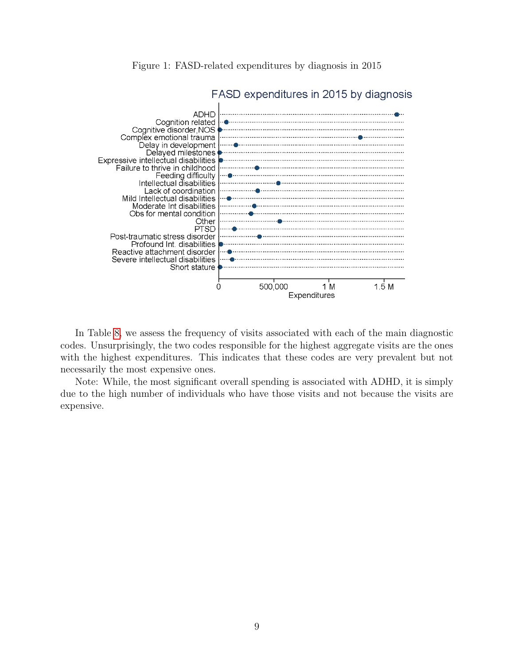

Figure 1: FASD-related expenditures by diagnosis in 2015

In Table [8,](#page-9-0) we assess the frequency of visits associated with each of the main diagnostic codes. Unsurprisingly, the two codes responsible for the highest aggregate visits are the ones with the highest expenditures. This indicates that these codes are very prevalent but not necessarily the most expensive ones.

Note: While, the most significant overall spending is associated with ADHD, it is simply due to the high number of individuals who have those visits and not because the visits are expensive.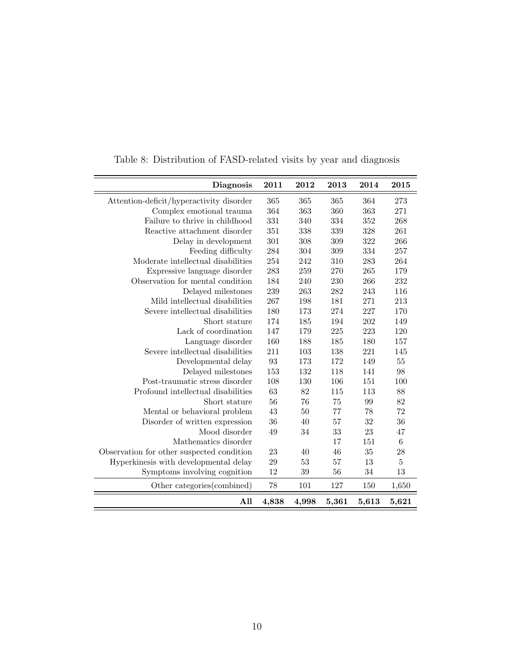<span id="page-9-0"></span>

| Diagnosis                                 | 2011  | 2012   | 2013  | 2014  | 2015            |
|-------------------------------------------|-------|--------|-------|-------|-----------------|
| Attention-deficit/hyperactivity disorder  | 365   | 365    | 365   | 364   | 273             |
| Complex emotional trauma                  | 364   | 363    | 360   | 363   | 271             |
| Failure to thrive in childhood            | 331   | 340    | 334   | 352   | 268             |
| Reactive attachment disorder              | 351   | 338    | 339   | 328   | 261             |
| Delay in development                      | 301   | 308    | 309   | 322   | 266             |
| Feeding difficulty                        | 284   | 304    | 309   | 334   | 257             |
| Moderate intellectual disabilities        | 254   | 242    | 310   | 283   | 264             |
| Expressive language disorder              | 283   | 259    | 270   | 265   | 179             |
| Observation for mental condition          | 184   | 240    | 230   | 266   | 232             |
| Delayed milestones                        | 239   | 263    | 282   | 243   | 116             |
| Mild intellectual disabilities            | 267   | 198    | 181   | 271   | 213             |
| Severe intellectual disabilities          | 180   | 173    | 274   | 227   | 170             |
| Short stature                             | 174   | 185    | 194   | 202   | 149             |
| Lack of coordination                      | 147   | 179    | 225   | 223   | 120             |
| Language disorder                         | 160   | 188    | 185   | 180   | 157             |
| Severe intellectual disabilities          | 211   | 103    | 138   | 221   | 145             |
| Developmental delay                       | 93    | 173    | 172   | 149   | 55              |
| Delayed milestones                        | 153   | 132    | 118   | 141   | 98              |
| Post-traumatic stress disorder            | 108   | 130    | 106   | 151   | 100             |
| Profound intellectual disabilities        | 63    | 82     | 115   | 113   | 88              |
| Short stature                             | 56    | 76     | 75    | 99    | 82              |
| Mental or behavioral problem              | 43    | 50     | 77    | 78    | 72              |
| Disorder of written expression            | 36    | 40     | 57    | 32    | 36              |
| Mood disorder                             | 49    | $34\,$ | 33    | 23    | 47              |
| Mathematics disorder                      |       |        | 17    | 151   | $6\phantom{.}6$ |
| Observation for other suspected condition | 23    | 40     | 46    | 35    | 28              |
| Hyperkinesis with developmental delay     | 29    | 53     | 57    | 13    | $\overline{5}$  |
| Symptoms involving cognition              | 12    | 39     | 56    | 34    | 13              |
| Other categories (combined)               | 78    | 101    | 127   | 150   | 1,650           |
| All                                       | 4,838 | 4,998  | 5,361 | 5,613 | 5,621           |

Table 8: Distribution of FASD-related visits by year and diagnosis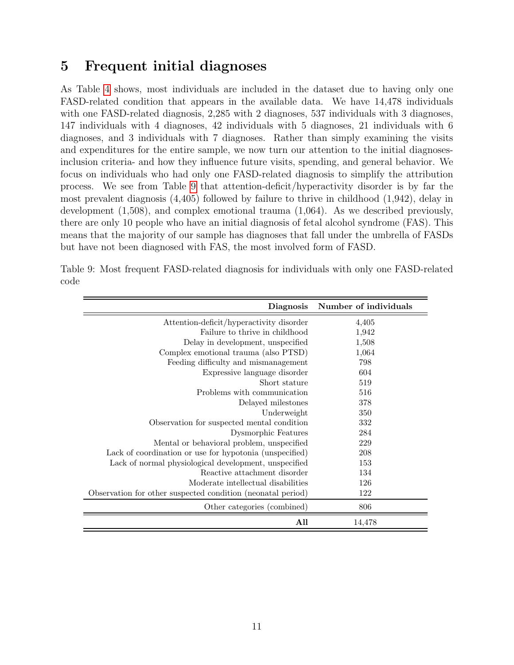# <span id="page-10-0"></span>5 Frequent initial diagnoses

As Table [4](#page-6-0) shows, most individuals are included in the dataset due to having only one FASD-related condition that appears in the available data. We have 14,478 individuals with one FASD-related diagnosis, 2,285 with 2 diagnoses, 537 individuals with 3 diagnoses, 147 individuals with 4 diagnoses, 42 individuals with 5 diagnoses, 21 individuals with 6 diagnoses, and 3 individuals with 7 diagnoses. Rather than simply examining the visits and expenditures for the entire sample, we now turn our attention to the initial diagnosesinclusion criteria- and how they influence future visits, spending, and general behavior. We focus on individuals who had only one FASD-related diagnosis to simplify the attribution process. We see from Table [9](#page-10-1) that attention-deficit/hyperactivity disorder is by far the most prevalent diagnosis (4,405) followed by failure to thrive in childhood (1,942), delay in development (1,508), and complex emotional trauma (1,064). As we described previously, there are only 10 people who have an initial diagnosis of fetal alcohol syndrome (FAS). This means that the majority of our sample has diagnoses that fall under the umbrella of FASDs but have not been diagnosed with FAS, the most involved form of FASD.

| <b>Diagnosis</b>                                            | Number of individuals |
|-------------------------------------------------------------|-----------------------|
| Attention-deficit/hyperactivity disorder                    | 4,405                 |
| Failure to thrive in childhood                              | 1,942                 |
| Delay in development, unspecified                           | 1,508                 |
| Complex emotional trauma (also PTSD)                        | 1,064                 |
| Feeding difficulty and mismanagement                        | 798                   |
| Expressive language disorder                                | 604                   |
| Short stature                                               | 519                   |
| Problems with communication                                 | 516                   |
| Delayed milestones                                          | 378                   |
| Underweight                                                 | 350                   |
| Observation for suspected mental condition                  | 332                   |
| <b>Dysmorphic Features</b>                                  | 284                   |
| Mental or behavioral problem, unspecified                   | 229                   |
| Lack of coordination or use for hypotonia (unspecified)     | 208                   |
| Lack of normal physiological development, unspecified       | 153                   |
| Reactive attachment disorder                                | 134                   |
| Moderate intellectual disabilities                          | 126                   |
| Observation for other suspected condition (neonatal period) | 122                   |
| Other categories (combined)                                 | 806                   |
| All                                                         | 14,478                |

<span id="page-10-1"></span>Table 9: Most frequent FASD-related diagnosis for individuals with only one FASD-related code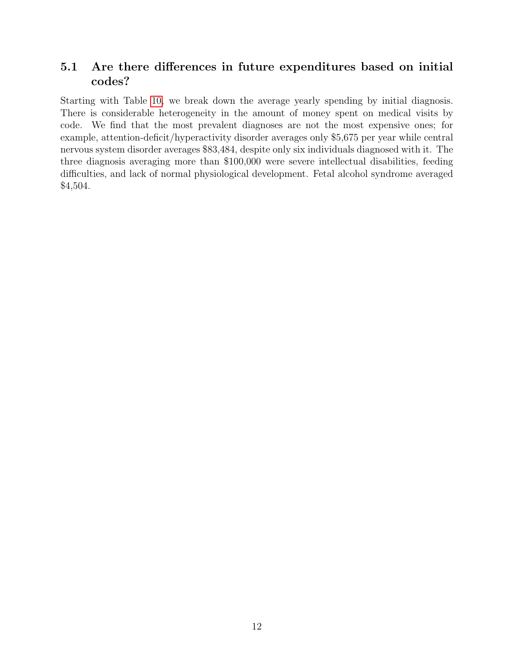## <span id="page-11-0"></span>5.1 Are there differences in future expenditures based on initial codes?

Starting with Table [10,](#page-12-0) we break down the average yearly spending by initial diagnosis. There is considerable heterogeneity in the amount of money spent on medical visits by code. We find that the most prevalent diagnoses are not the most expensive ones; for example, attention-deficit/hyperactivity disorder averages only \$5,675 per year while central nervous system disorder averages \$83,484, despite only six individuals diagnosed with it. The three diagnosis averaging more than \$100,000 were severe intellectual disabilities, feeding difficulties, and lack of normal physiological development. Fetal alcohol syndrome averaged \$4,504.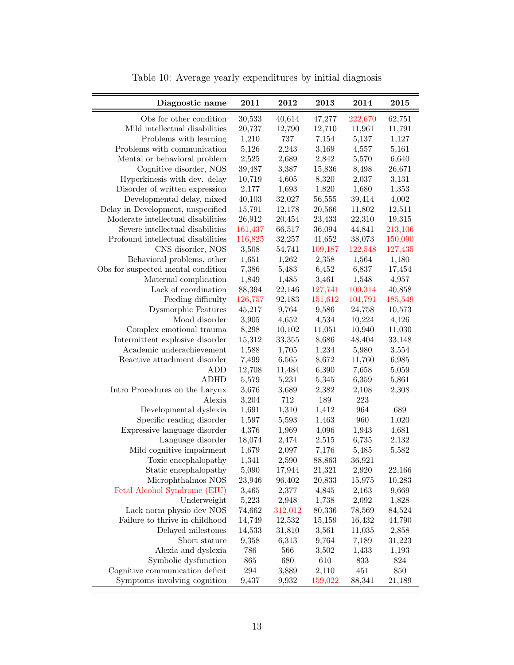<span id="page-12-0"></span>

| Diagnostic name                    | 2011       | 2012    | 2013    | 2014    | 2015    |
|------------------------------------|------------|---------|---------|---------|---------|
| Obs for other condition            | 30,533     | 40,614  | 47,277  | 222,670 | 62,751  |
| Mild intellectual disabilities     | 20,737     | 12,790  | 12,710  | 11,961  | 11,791  |
| Problems with learning             | 1,210      | 737     | 7,154   | 5,137   | 1,127   |
| Problems with communication        | 5,126      | 2,243   | 3,169   | 4,557   | 5,161   |
| Mental or behavioral problem       | 2,525      | 2,689   | 2,842   | 5,570   | 6,640   |
| Cognitive disorder, NOS            | 39,487     | 3,387   | 15,836  | 8,498   | 26,671  |
| Hyperkinesis with dev. delay       | 10,719     | 4,605   | 8,320   | 2,037   | 3,131   |
| Disorder of written expression     | 2,177      | 1,693   | 1,820   | 1,680   | 1,353   |
| Developmental delay, mixed         | 40,103     | 32,027  | 56,555  | 39,414  | 4,002   |
| Delay in Development, unspecified  | 15,791     | 12,178  | 20,566  | 11,802  | 12,511  |
| Moderate intellectual disabilities | 26,912     | 20,454  | 23,433  | 22,310  | 19,315  |
| Severe intellectual disabilities   | 161,437    | 66,517  | 36,094  | 44,841  | 213,106 |
| Profound intellectual disabilities | 116,825    | 32,257  | 41,652  | 38,073  | 150,090 |
| CNS disorder, NOS                  | 3,508      | 54,741  | 109,187 | 122,548 | 127,435 |
| Behavioral problems, other         | 1,651      | 1,262   | 2,358   | 1,564   | 1,180   |
| Obs for suspected mental condition | 7,386      | 5,483   | 6,452   | 6,837   | 17,454  |
| Maternal complication              | 1,849      | 1,485   | 3,461   | 1,548   | 4,957   |
| Lack of coordination               | 88,394     | 22,146  | 127,741 | 109,314 | 40,858  |
| Feeding difficulty                 | 126,757    | 92,183  | 151,612 | 101,791 | 185,549 |
| Dysmorphic Features                | 45,217     | 9,764   | 9,586   | 24,758  | 10,573  |
| Mood disorder                      | 3,905      | 4,652   | 4,534   | 10,224  | 4,126   |
| Complex emotional trauma           | 8,298      | 10,102  | 11,051  | 10,940  | 11,030  |
| Intermittent explosive disorder    | $15,\!312$ | 33,355  | 8,686   | 48,404  | 33,148  |
| Academic underachievement          | 1,588      | 1,705   | 1,234   | 5,980   | 3,554   |
| Reactive attachment disorder       | 7,499      | 6,565   | 8,672   | 11,760  | 6,985   |
| <b>ADD</b>                         | 12,708     | 11,484  | 6,390   | 7,658   | 5,059   |
| <b>ADHD</b>                        | 5,579      | 5,231   | 5,345   | 6,359   | 5,861   |
| Intro Procedures on the Larynx     | 3,676      | 3,689   | 2,382   | 2,108   | 2,308   |
| Alexia                             | 3,204      | 712     | 189     | 223     |         |
| Developmental dyslexia             | 1,691      | 1,310   | 1,412   | 964     | 689     |
| Specific reading disorder          | 1,597      | 5,593   | 1,463   | 960     | 1,020   |
| Expressive language disorder       | 4,376      | 1,969   | 4,096   | 1,943   | 4,681   |
| Language disorder                  | 18,074     | 2,474   | 2,515   | 6,735   | 2,132   |
| Mild cognitive impairment          | 1,679      | 2,097   | 7,176   | 5,485   | 5,582   |
| Toxic encephalopathy               | 1,341      | 2,590   | 88,863  | 36,921  |         |
| Static encephalopathy              | $5,\!090$  | 17,944  | 21,321  | 2,920   | 22,166  |
| Microphthalmos NOS                 | 23,946     | 96,402  | 20,833  | 15,975  | 10,283  |
| Fetal Alcohol Syndrome (EIU)       | 3,465      | 2,377   | 4,845   | 2,163   | 9,669   |
| Underweight                        | 5,223      | 2,948   | 1,738   | 2,092   | 1,828   |
| Lack norm physio dev NOS           | 74,662     | 312,012 | 80,336  | 78,569  | 84,524  |
| Failure to thrive in childhood     | 14,749     | 12,532  | 15,159  | 16,432  | 44,790  |
| Delayed milestones                 | 14,533     | 31,810  | 3,561   | 11,035  | 2,858   |
| Short stature                      | 9,358      | 6,313   | 9,764   | 7,189   | 31,223  |
| Alexia and dyslexia                | 786        | 566     | 3,502   | 1,433   | 1,193   |
| Symbolic dysfunction               | 865        | 680     | 610     | 833     | 824     |
| Cognitive communication deficit    | 294        | 3,889   | 2,110   | 451     | 850     |
| Symptoms involving cognition       | 9,437      | 9,932   | 159,022 | 88,341  | 21,189  |

Table 10: Average yearly expenditures by initial diagnosis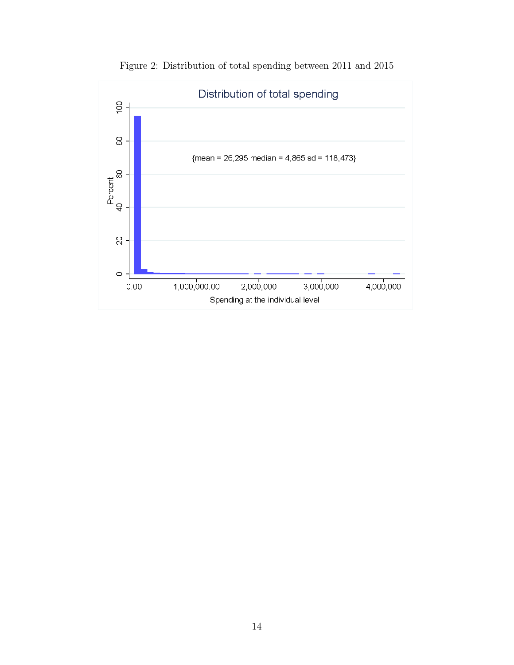<span id="page-13-0"></span>

Figure 2: Distribution of total spending between 2011 and 2015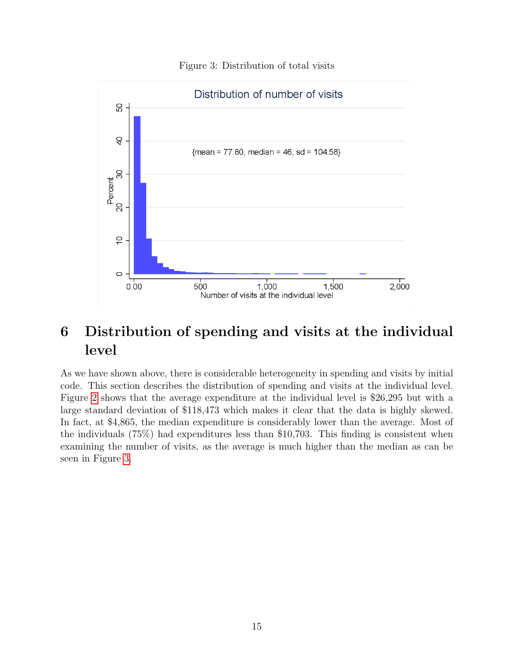<span id="page-14-1"></span>

#### Figure 3: Distribution of total visits

# <span id="page-14-0"></span>6 Distribution of spending and visits at the individual level

As we have shown above, there is considerable heterogeneity in spending and visits by initial code. This section describes the distribution of spending and visits at the individual level. Figure [2](#page-13-0) shows that the average expenditure at the individual level is \$26,295 but with a large standard deviation of \$118,473 which makes it clear that the data is highly skewed. In fact, at \$4,865, the median expenditure is considerably lower than the average. Most of the individuals (75%) had expenditures less than \$10,703. This finding is consistent when examining the number of visits, as the average is much higher than the median as can be seen in Figure [3.](#page-14-1)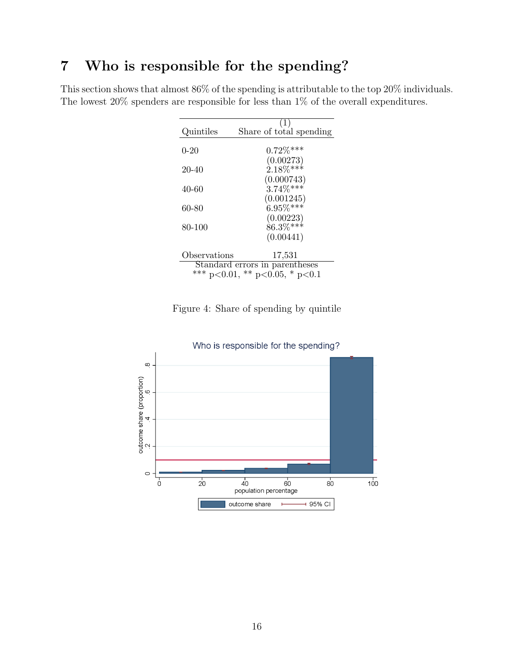# <span id="page-15-0"></span>7 Who is responsible for the spending?

This section shows that almost 86% of the spending is attributable to the top 20% individuals. The lowest 20% spenders are responsible for less than 1% of the overall expenditures.

|                                | (1)                            |  |  |  |
|--------------------------------|--------------------------------|--|--|--|
| Quintiles                      | Share of total spending        |  |  |  |
|                                |                                |  |  |  |
| $0 - 20$                       | $0.72\%$ ***                   |  |  |  |
|                                | (0.00273)                      |  |  |  |
| 20-40                          | $2.18\%***$                    |  |  |  |
|                                | (0.000743)                     |  |  |  |
| 40-60                          | $3.74\%***$                    |  |  |  |
|                                | (0.001245)                     |  |  |  |
| 60-80                          | $6.95\%***$                    |  |  |  |
|                                | (0.00223)                      |  |  |  |
| 80-100                         | $86.3\%***$                    |  |  |  |
|                                | (0.00441)                      |  |  |  |
|                                |                                |  |  |  |
| Observations                   | 17,531                         |  |  |  |
| Standard errors in parentheses |                                |  |  |  |
|                                | *** p<0.01, ** p<0.05, * p<0.1 |  |  |  |

Figure 4: Share of spending by quintile

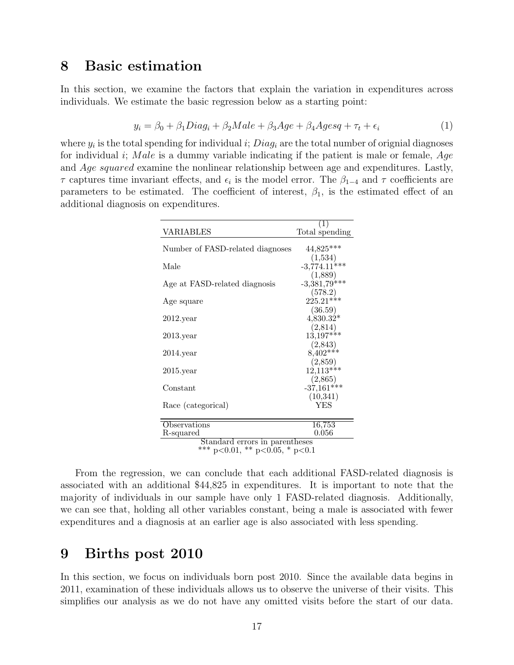## <span id="page-16-0"></span>8 Basic estimation

In this section, we examine the factors that explain the variation in expenditures across individuals. We estimate the basic regression below as a starting point:

$$
y_i = \beta_0 + \beta_1 Diag_i + \beta_2 Male + \beta_3 Age + \beta_4 Agesq + \tau_t + \epsilon_i
$$
\n(1)

where  $y_i$  is the total spending for individual i;  $Diag_i$  are the total number of orignial diagnoses for individual i; Male is a dummy variable indicating if the patient is male or female,  $Age$ and Age squared examine the nonlinear relationship between age and expenditures. Lastly,  $\tau$  captures time invariant effects, and  $\epsilon_i$  is the model error. The  $\beta_{1-4}$  and  $\tau$  coefficients are parameters to be estimated. The coefficient of interest,  $\beta_1$ , is the estimated effect of an additional diagnosis on expenditures.

| VARIABLES                                                               | $\left(1\right)$<br>Total spending |
|-------------------------------------------------------------------------|------------------------------------|
| Number of FASD-related diagnoses                                        | 44,825***                          |
| Male                                                                    | (1,534)<br>$-3,774.11***$          |
| Age at FASD-related diagnosis                                           | (1,889)<br>$-3,381,79$ ***         |
| Age square                                                              | $(578.2)$<br>225.21***             |
| $2012$ . year                                                           | (36.59)<br>$4,830.32*$             |
| $2013$ .year                                                            | (2, 814)<br>$13,197***$            |
| $2014$ . year                                                           | (2,843)<br>$8,402***$              |
| $2015$ .year                                                            | (2,859)<br>$12,113***$             |
| Constant                                                                | (2,865)<br>$-37,161***$            |
| Race (categorical)                                                      | (10, 341)<br>YES                   |
|                                                                         |                                    |
| Observations<br>R-squared                                               | 16,753<br>$\,0.056\,$              |
| Standard errors in parentheses<br>ホホホ<br>$0.01 \times 1000 \times 1000$ |                                    |

<sup>\*\*\*</sup> p<0.01, \*\* p<0.05, \* p<0.1

From the regression, we can conclude that each additional FASD-related diagnosis is associated with an additional \$44,825 in expenditures. It is important to note that the majority of individuals in our sample have only 1 FASD-related diagnosis. Additionally, we can see that, holding all other variables constant, being a male is associated with fewer expenditures and a diagnosis at an earlier age is also associated with less spending.

### <span id="page-16-1"></span>9 Births post 2010

In this section, we focus on individuals born post 2010. Since the available data begins in 2011, examination of these individuals allows us to observe the universe of their visits. This simplifies our analysis as we do not have any omitted visits before the start of our data.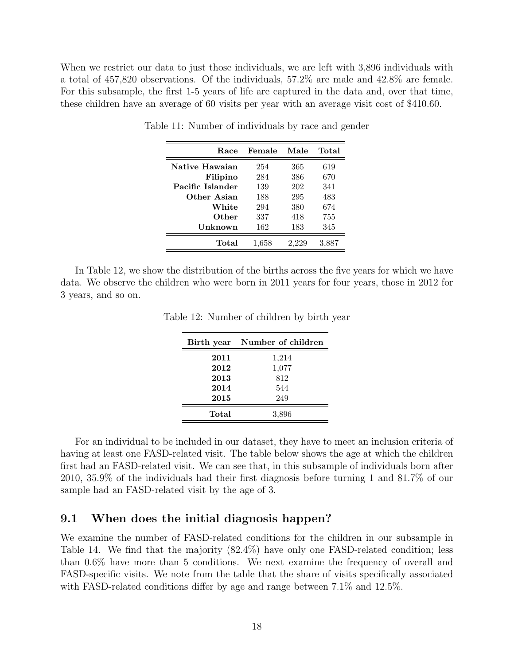When we restrict our data to just those individuals, we are left with 3,896 individuals with a total of 457,820 observations. Of the individuals, 57.2% are male and 42.8% are female. For this subsample, the first 1-5 years of life are captured in the data and, over that time, these children have an average of 60 visits per year with an average visit cost of \$410.60.

| Race             | Female | Male  | Total |
|------------------|--------|-------|-------|
| Native Hawaian   | 254    | 365   | 619   |
| Filipino         | 284    | 386   | 670   |
| Pacific Islander | 139    | 202   | 341   |
| Other Asian      | 188    | 295   | 483   |
| White            | 294    | 380   | 674   |
| Other            | 337    | 418   | 755   |
| Unknown          | 162    | 183   | 345   |
| Total            | 1.658  | 2.229 | 3,887 |

Table 11: Number of individuals by race and gender

In Table 12, we show the distribution of the births across the five years for which we have data. We observe the children who were born in 2011 years for four years, those in 2012 for 3 years, and so on.

| Birth year | Number of children |
|------------|--------------------|
| 2011       | 1,214              |
| 2012       | 1,077              |
| 2013       | 812                |
| 2014       | 544                |
| 2015       | 249                |
| Total      | 3,896              |

Table 12: Number of children by birth year

For an individual to be included in our dataset, they have to meet an inclusion criteria of having at least one FASD-related visit. The table below shows the age at which the children first had an FASD-related visit. We can see that, in this subsample of individuals born after 2010, 35.9% of the individuals had their first diagnosis before turning 1 and 81.7% of our sample had an FASD-related visit by the age of 3.

#### <span id="page-17-0"></span>9.1 When does the initial diagnosis happen?

We examine the number of FASD-related conditions for the children in our subsample in Table 14. We find that the majority (82.4%) have only one FASD-related condition; less than 0.6% have more than 5 conditions. We next examine the frequency of overall and FASD-specific visits. We note from the table that the share of visits specifically associated with FASD-related conditions differ by age and range between 7.1% and 12.5%.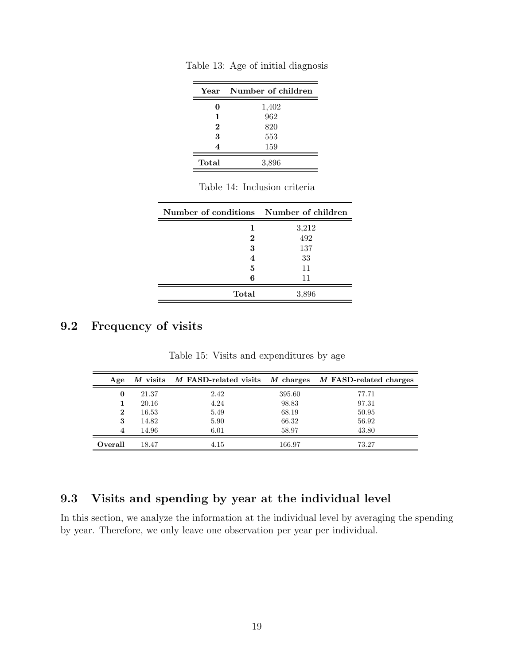| Year     | Number of children |
|----------|--------------------|
| O        | 1,402              |
| 1        | 962                |
| $\bf{2}$ | 820                |
| 3        | 553                |
| 4        | 159                |
| Total    | 3,896              |

Table 13: Age of initial diagnosis

| Number of conditions Number of children |       |
|-----------------------------------------|-------|
| 1                                       | 3,212 |
| 2                                       | 492   |
| 3                                       | 137   |
| 4                                       | 33    |
| 5                                       | 11    |
| 6                                       | 11    |
| Total                                   | 3,896 |

## <span id="page-18-0"></span>9.2 Frequency of visits

| Age     |       | $M$ visits $M$ FASD-related visits |        | M charges M FASD-related charges |
|---------|-------|------------------------------------|--------|----------------------------------|
| 0       | 21.37 | 2.42                               | 395.60 | 77.71                            |
|         | 20.16 | 4.24                               | 98.83  | 97.31                            |
| 2       | 16.53 | 5.49                               | 68.19  | 50.95                            |
| 3       | 14.82 | 5.90                               | 66.32  | 56.92                            |
| 4       | 14.96 | 6.01                               | 58.97  | 43.80                            |
| Overall | 18.47 | 4.15                               | 166.97 | 73.27                            |
|         |       |                                    |        |                                  |

Table 15: Visits and expenditures by age

## <span id="page-18-1"></span>9.3 Visits and spending by year at the individual level

In this section, we analyze the information at the individual level by averaging the spending by year. Therefore, we only leave one observation per year per individual.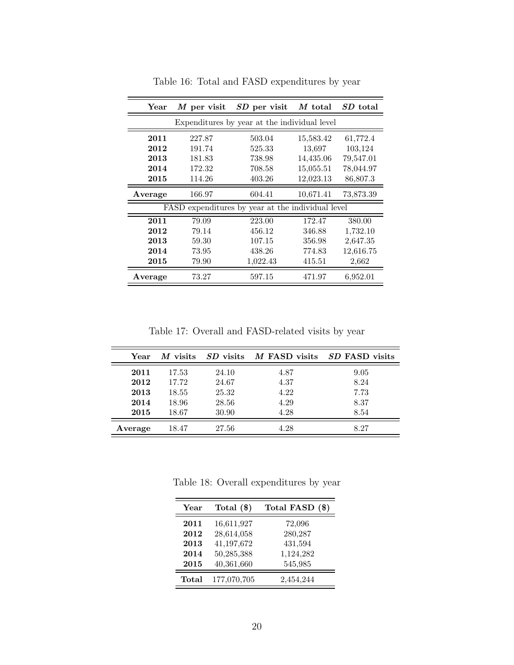| $\operatorname{Year}$ | M per visit | SD per visit                                 | M total   | SD total  |
|-----------------------|-------------|----------------------------------------------|-----------|-----------|
|                       |             | Expenditures by year at the individual level |           |           |
| 2011                  | 227.87      | 503.04                                       | 15,583.42 | 61,772.4  |
| 2012                  | 191.74      | 525.33                                       | 13,697    | 103,124   |
| 2013                  | 181.83      | 738.98                                       | 14,435.06 | 79,547.01 |
| 2014                  | 172.32      | 708.58                                       | 15,055.51 | 78,044.97 |
| 2015                  | 114.26      | 403.26                                       | 12,023.13 | 86,807.3  |
| Average               | 166.97      | 604.41                                       | 10,671.41 | 73,873.39 |
|                       | FASD        | expenditures by year at the individual level |           |           |
| 2011                  | 79.09       | 223.00                                       | 172.47    | 380.00    |
| 2012                  | 79.14       | 456.12                                       | 346.88    | 1,732.10  |
| 2013                  | 59.30       | 107.15                                       | 356.98    | 2,647.35  |
| 2014                  | 73.95       | 438.26                                       | 774.83    | 12,616.75 |
| 2015                  | 79.90       | 1,022.43                                     | 415.51    | 2,662     |
| Average               | 73.27       | 597.15                                       | 471.97    | 6,952.01  |

Table 16: Total and FASD expenditures by year

Table 17: Overall and FASD-related visits by year

| Year    | M visits |       | SD visits M FASD visits SD FASD visits |      |
|---------|----------|-------|----------------------------------------|------|
| 2011    | 17.53    | 24.10 | 4.87                                   | 9.05 |
| 2012    | 17.72    | 24.67 | 4.37                                   | 8.24 |
| 2013    | 18.55    | 25.32 | 4.22                                   | 7.73 |
| 2014    | 18.96    | 28.56 | 4.29                                   | 8.37 |
| 2015    | 18.67    | 30.90 | 4.28                                   | 8.54 |
| Average | 18.47    | 27.56 | 4.28                                   | 8.27 |

Table 18: Overall expenditures by year

| Year  | Total $(\$)$ | Total FASD (\$) |
|-------|--------------|-----------------|
| 2011  | 16,611,927   | 72,096          |
| 2012  | 28,614,058   | 280,287         |
| 2013  | 41,197,672   | 431,594         |
| 2014  | 50,285,388   | 1,124,282       |
| 2015  | 40,361,660   | 545,985         |
| Total | 177,070,705  | 2,454,244       |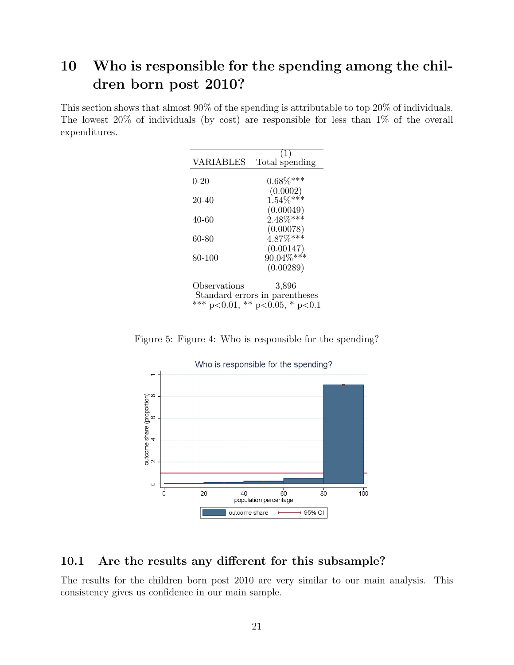# <span id="page-20-0"></span>10 Who is responsible for the spending among the children born post 2010?

This section shows that almost 90% of the spending is attributable to top 20% of individuals. The lowest 20% of individuals (by cost) are responsible for less than 1% of the overall expenditures.

| <b>VARIABLES</b> | Total spending                 |
|------------------|--------------------------------|
|                  |                                |
| $0 - 20$         | $0.68\%***$                    |
|                  | (0.0002)                       |
| 20-40            | $1.54\%***$                    |
|                  | (0.00049)                      |
| 40-60            | $2.48\%***$                    |
|                  | (0.00078)                      |
| 60-80            | $4.87\%***$                    |
|                  | (0.00147)                      |
| 80-100           | $90.04\%***$                   |
|                  |                                |
|                  | (0.00289)                      |
|                  |                                |
| Observations     | 3,896                          |
|                  | Standard errors in parentheses |
|                  | *** p<0.01, ** p<0.05, * p<0.1 |

Figure 5: Figure 4: Who is responsible for the spending?



### <span id="page-20-1"></span>10.1 Are the results any different for this subsample?

The results for the children born post 2010 are very similar to our main analysis. This consistency gives us confidence in our main sample.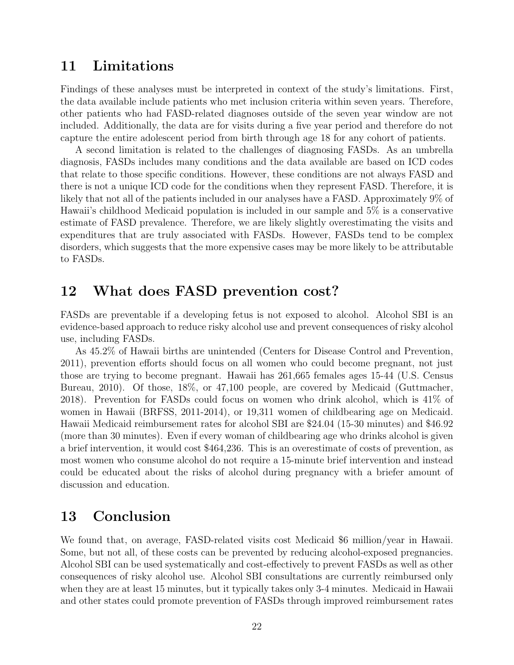## <span id="page-21-0"></span>11 Limitations

Findings of these analyses must be interpreted in context of the study's limitations. First, the data available include patients who met inclusion criteria within seven years. Therefore, other patients who had FASD-related diagnoses outside of the seven year window are not included. Additionally, the data are for visits during a five year period and therefore do not capture the entire adolescent period from birth through age 18 for any cohort of patients.

A second limitation is related to the challenges of diagnosing FASDs. As an umbrella diagnosis, FASDs includes many conditions and the data available are based on ICD codes that relate to those specific conditions. However, these conditions are not always FASD and there is not a unique ICD code for the conditions when they represent FASD. Therefore, it is likely that not all of the patients included in our analyses have a FASD. Approximately 9% of Hawaii's childhood Medicaid population is included in our sample and 5% is a conservative estimate of FASD prevalence. Therefore, we are likely slightly overestimating the visits and expenditures that are truly associated with FASDs. However, FASDs tend to be complex disorders, which suggests that the more expensive cases may be more likely to be attributable to FASDs.

## <span id="page-21-1"></span>12 What does FASD prevention cost?

FASDs are preventable if a developing fetus is not exposed to alcohol. Alcohol SBI is an evidence-based approach to reduce risky alcohol use and prevent consequences of risky alcohol use, including FASDs.

As 45.2% of Hawaii births are unintended (Centers for Disease Control and Prevention, 2011), prevention efforts should focus on all women who could become pregnant, not just those are trying to become pregnant. Hawaii has 261,665 females ages 15-44 (U.S. Census Bureau, 2010). Of those, 18%, or 47,100 people, are covered by Medicaid (Guttmacher, 2018). Prevention for FASDs could focus on women who drink alcohol, which is 41% of women in Hawaii (BRFSS, 2011-2014), or 19,311 women of childbearing age on Medicaid. Hawaii Medicaid reimbursement rates for alcohol SBI are \$24.04 (15-30 minutes) and \$46.92 (more than 30 minutes). Even if every woman of childbearing age who drinks alcohol is given a brief intervention, it would cost \$464,236. This is an overestimate of costs of prevention, as most women who consume alcohol do not require a 15-minute brief intervention and instead could be educated about the risks of alcohol during pregnancy with a briefer amount of discussion and education.

## <span id="page-21-2"></span>13 Conclusion

We found that, on average, FASD-related visits cost Medicaid \$6 million/year in Hawaii. Some, but not all, of these costs can be prevented by reducing alcohol-exposed pregnancies. Alcohol SBI can be used systematically and cost-effectively to prevent FASDs as well as other consequences of risky alcohol use. Alcohol SBI consultations are currently reimbursed only when they are at least 15 minutes, but it typically takes only 3-4 minutes. Medicaid in Hawaii and other states could promote prevention of FASDs through improved reimbursement rates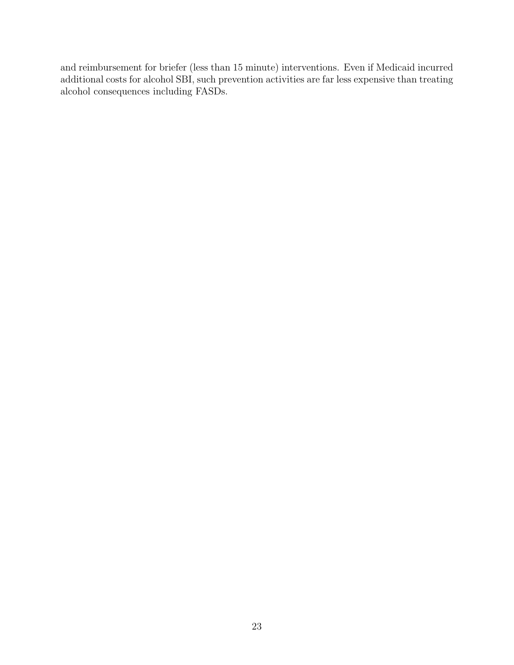and reimbursement for briefer (less than 15 minute) interventions. Even if Medicaid incurred additional costs for alcohol SBI, such prevention activities are far less expensive than treating alcohol consequences including FASDs.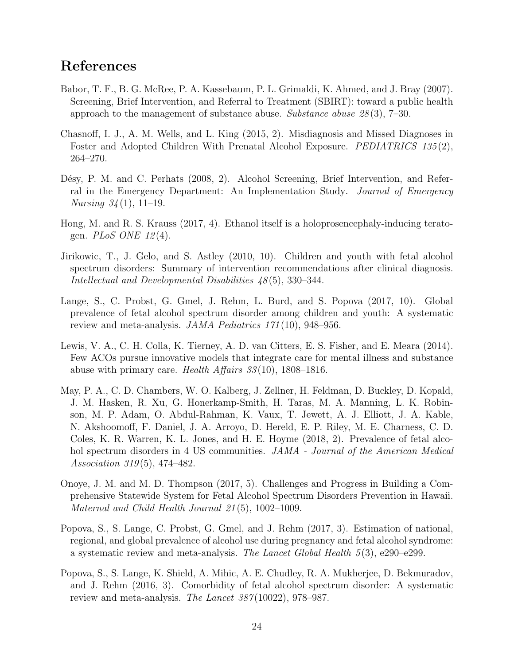## References

- <span id="page-23-7"></span>Babor, T. F., B. G. McRee, P. A. Kassebaum, P. L. Grimaldi, K. Ahmed, and J. Bray (2007). Screening, Brief Intervention, and Referral to Treatment (SBIRT): toward a public health approach to the management of substance abuse. Substance abuse  $28(3)$ , 7–30.
- <span id="page-23-2"></span>Chasnoff, I. J., A. M. Wells, and L. King (2015, 2). Misdiagnosis and Missed Diagnoses in Foster and Adopted Children With Prenatal Alcohol Exposure. *PEDIATRICS* 135(2), 264–270.
- <span id="page-23-8"></span>Désy, P. M. and C. Perhats (2008, 2). Alcohol Screening, Brief Intervention, and Referral in the Emergency Department: An Implementation Study. Journal of Emergency *Nursing*  $34(1)$ , 11–19.
- <span id="page-23-4"></span>Hong, M. and R. S. Krauss (2017, 4). Ethanol itself is a holoprosencephaly-inducing teratogen.  $PLoS$  ONE 12(4).
- <span id="page-23-5"></span>Jirikowic, T., J. Gelo, and S. Astley (2010, 10). Children and youth with fetal alcohol spectrum disorders: Summary of intervention recommendations after clinical diagnosis. Intellectual and Developmental Disabilities 48 (5), 330–344.
- <span id="page-23-6"></span>Lange, S., C. Probst, G. Gmel, J. Rehm, L. Burd, and S. Popova (2017, 10). Global prevalence of fetal alcohol spectrum disorder among children and youth: A systematic review and meta-analysis. JAMA Pediatrics 171(10), 948–956.
- <span id="page-23-9"></span>Lewis, V. A., C. H. Colla, K. Tierney, A. D. van Citters, E. S. Fisher, and E. Meara (2014). Few ACOs pursue innovative models that integrate care for mental illness and substance abuse with primary care. Health Affairs  $33(10)$ , 1808–1816.
- <span id="page-23-1"></span>May, P. A., C. D. Chambers, W. O. Kalberg, J. Zellner, H. Feldman, D. Buckley, D. Kopald, J. M. Hasken, R. Xu, G. Honerkamp-Smith, H. Taras, M. A. Manning, L. K. Robinson, M. P. Adam, O. Abdul-Rahman, K. Vaux, T. Jewett, A. J. Elliott, J. A. Kable, N. Akshoomoff, F. Daniel, J. A. Arroyo, D. Hereld, E. P. Riley, M. E. Charness, C. D. Coles, K. R. Warren, K. L. Jones, and H. E. Hoyme (2018, 2). Prevalence of fetal alcohol spectrum disorders in 4 US communities. JAMA - Journal of the American Medical Association 319(5), 474-482.
- <span id="page-23-10"></span>Onoye, J. M. and M. D. Thompson (2017, 5). Challenges and Progress in Building a Comprehensive Statewide System for Fetal Alcohol Spectrum Disorders Prevention in Hawaii. Maternal and Child Health Journal 21 (5), 1002–1009.
- <span id="page-23-0"></span>Popova, S., S. Lange, C. Probst, G. Gmel, and J. Rehm (2017, 3). Estimation of national, regional, and global prevalence of alcohol use during pregnancy and fetal alcohol syndrome: a systematic review and meta-analysis. The Lancet Global Health  $5(3)$ , e290–e299.
- <span id="page-23-3"></span>Popova, S., S. Lange, K. Shield, A. Mihic, A. E. Chudley, R. A. Mukherjee, D. Bekmuradov, and J. Rehm (2016, 3). Comorbidity of fetal alcohol spectrum disorder: A systematic review and meta-analysis. The Lancet 387(10022), 978–987.